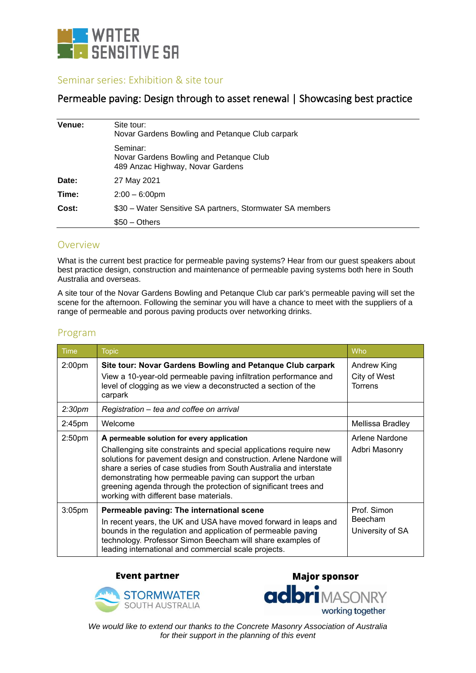

## Seminar series: Exhibition & site tour

## Permeable paving: Design through to asset renewal | Showcasing best practice

| Venue: | Site tour:<br>Novar Gardens Bowling and Petanque Club carpark                           |
|--------|-----------------------------------------------------------------------------------------|
|        | Seminar:<br>Novar Gardens Bowling and Petanque Club<br>489 Anzac Highway, Novar Gardens |
| Date:  | 27 May 2021                                                                             |
| Time:  | $2:00 - 6:00$ pm                                                                        |
| Cost:  | \$30 – Water Sensitive SA partners, Stormwater SA members                               |
|        | $$50 - Others$                                                                          |

## Overview

What is the current best practice for permeable paving systems? Hear from our guest speakers about best practice design, construction and maintenance of permeable paving systems both here in South Australia and overseas.

A site tour of the Novar Gardens Bowling and Petanque Club car park's permeable paving will set the scene for the afternoon. Following the seminar you will have a chance to meet with the suppliers of a range of permeable and porous paving products over networking drinks.

| Time               | <b>Topic</b>                                                                                                                                                                                                                                                                                                                                                                                                                          | Who                                        |
|--------------------|---------------------------------------------------------------------------------------------------------------------------------------------------------------------------------------------------------------------------------------------------------------------------------------------------------------------------------------------------------------------------------------------------------------------------------------|--------------------------------------------|
| 2:00 <sub>pm</sub> | Site tour: Novar Gardens Bowling and Petanque Club carpark<br>View a 10-year-old permeable paving infiltration performance and<br>level of clogging as we view a deconstructed a section of the<br>carpark                                                                                                                                                                                                                            | Andrew King<br>City of West<br>Torrens     |
| 2:30 <sub>pm</sub> | Registration – tea and coffee on arrival                                                                                                                                                                                                                                                                                                                                                                                              |                                            |
| 2:45 <sub>pm</sub> | Welcome                                                                                                                                                                                                                                                                                                                                                                                                                               | Mellissa Bradley                           |
| 2:50 <sub>pm</sub> | A permeable solution for every application<br>Challenging site constraints and special applications require new<br>solutions for pavement design and construction. Arlene Nardone will<br>share a series of case studies from South Australia and interstate<br>demonstrating how permeable paving can support the urban<br>greening agenda through the protection of significant trees and<br>working with different base materials. | Arlene Nardone<br>Adbri Masonry            |
| 3:05 <sub>pm</sub> | Permeable paving: The international scene<br>In recent years, the UK and USA have moved forward in leaps and<br>bounds in the regulation and application of permeable paving<br>technology. Professor Simon Beecham will share examples of<br>leading international and commercial scale projects.                                                                                                                                    | Prof. Simon<br>Beecham<br>University of SA |

## Program

**Event partner** 



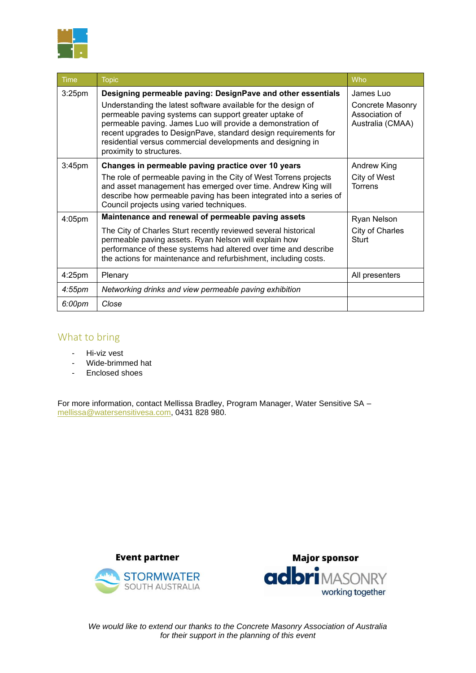

| Time               | <b>Topic</b>                                                                                                                                                                                                                                                                                                                                         | Who                                                    |
|--------------------|------------------------------------------------------------------------------------------------------------------------------------------------------------------------------------------------------------------------------------------------------------------------------------------------------------------------------------------------------|--------------------------------------------------------|
| 3:25 <sub>pm</sub> | Designing permeable paving: DesignPave and other essentials                                                                                                                                                                                                                                                                                          | James Luo                                              |
|                    | Understanding the latest software available for the design of<br>permeable paving systems can support greater uptake of<br>permeable paving. James Luo will provide a demonstration of<br>recent upgrades to DesignPave, standard design requirements for<br>residential versus commercial developments and designing in<br>proximity to structures. | Concrete Masonry<br>Association of<br>Australia (CMAA) |
| 3:45 <sub>pm</sub> | Changes in permeable paving practice over 10 years                                                                                                                                                                                                                                                                                                   | Andrew King                                            |
|                    | The role of permeable paving in the City of West Torrens projects<br>and asset management has emerged over time. Andrew King will<br>describe how permeable paving has been integrated into a series of<br>Council projects using varied techniques.                                                                                                 | City of West<br><b>Torrens</b>                         |
| 4:05pm             | Maintenance and renewal of permeable paving assets                                                                                                                                                                                                                                                                                                   | Ryan Nelson                                            |
|                    | The City of Charles Sturt recently reviewed several historical<br>permeable paving assets. Ryan Nelson will explain how<br>performance of these systems had altered over time and describe<br>the actions for maintenance and refurbishment, including costs.                                                                                        | City of Charles<br>Sturt                               |
| $4:25$ pm          | Plenary                                                                                                                                                                                                                                                                                                                                              | All presenters                                         |
| $4:55$ pm          | Networking drinks and view permeable paving exhibition                                                                                                                                                                                                                                                                                               |                                                        |
| 6:00pm             | Close                                                                                                                                                                                                                                                                                                                                                |                                                        |

# What to bring

- Hi-viz vest
- Wide-brimmed hat
- Enclosed shoes

For more information, contact Mellissa Bradley, Program Manager, Water Sensitive SA – [mellissa@watersensitivesa.com,](mailto:mellissa@watersensitivesa.com) 0431 828 980.



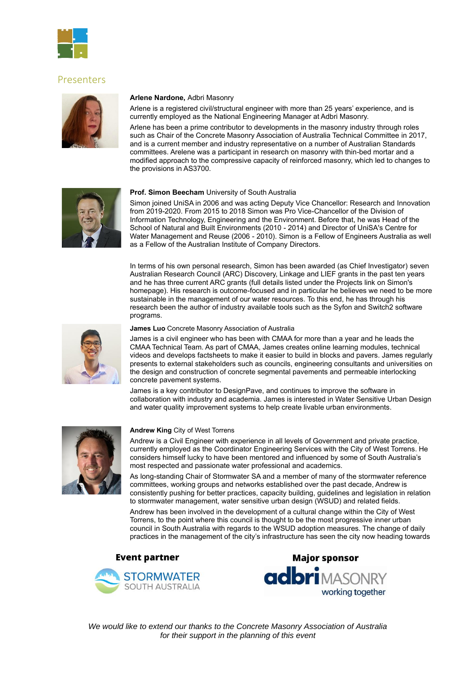

### Presenters



#### **Arlene Nardone,** Adbri Masonry

Arlene is a registered civil/structural engineer with more than 25 years' experience, and is currently employed as the National Engineering Manager at Adbri Masonry.

Arlene has been a prime contributor to developments in the masonry industry through roles such as Chair of the Concrete Masonry Association of Australia Technical Committee in 2017, and is a current member and industry representative on a number of Australian Standards committees. Arelene was a participant in research on masonry with thin-bed mortar and a modified approach to the compressive capacity of reinforced masonry, which led to changes to the provisions in AS3700.



#### **Prof. Simon Beecham** University of South Australia

Simon joined UniSA in 2006 and was acting Deputy Vice Chancellor: Research and Innovation from 2019-2020. From 2015 to 2018 Simon was Pro Vice-Chancellor of the Division of Information Technology, Engineering and the Environment. Before that, he was Head of the School of Natural and Built Environments (2010 - 2014) and Director of UniSA's Centre for Water Management and Reuse (2006 - 2010). Simon is a Fellow of Engineers Australia as well as a Fellow of the Australian Institute of Company Directors.

In terms of his own personal research, Simon has been awarded (as Chief Investigator) seven Australian Research Council (ARC) Discovery, Linkage and LIEF grants in the past ten years and he has three current ARC grants (full details listed under the Projects link on Simon's homepage). His research is outcome-focused and in particular he believes we need to be more sustainable in the management of our water resources. To this end, he has through his research been the author of industry available tools such as the Syfon and Switch2 software programs.



#### **James Luo** Concrete Masonry Association of Australia

James is a civil engineer who has been with CMAA for more than a year and he leads the CMAA Technical Team. As part of CMAA, James creates online learning modules, technical videos and develops factsheets to make it easier to build in blocks and pavers. James regularly presents to external stakeholders such as councils, engineering consultants and universities on the design and construction of concrete segmental pavements and permeable interlocking concrete pavement systems.

James is a key contributor to DesignPave, and continues to improve the software in collaboration with industry and academia. James is interested in Water Sensitive Urban Design and water quality improvement systems to help create livable urban environments.



#### **Andrew King** City of West Torrens

Andrew is a Civil Engineer with experience in all levels of Government and private practice, currently employed as the Coordinator Engineering Services with the City of West Torrens. He considers himself lucky to have been mentored and influenced by some of South Australia's most respected and passionate water professional and academics.

As long-standing Chair of Stormwater SA and a member of many of the stormwater reference committees, working groups and networks established over the past decade, Andrew is consistently pushing for better practices, capacity building, guidelines and legislation in relation to stormwater management, water sensitive urban design (WSUD) and related fields.

Andrew has been involved in the development of a cultural change within the City of West Torrens, to the point where this council is thought to be the most progressive inner urban council in South Australia with regards to the WSUD adoption measures. The change of daily practices in the management of the city's infrastructure has seen the city now heading towards

### **Event partner**